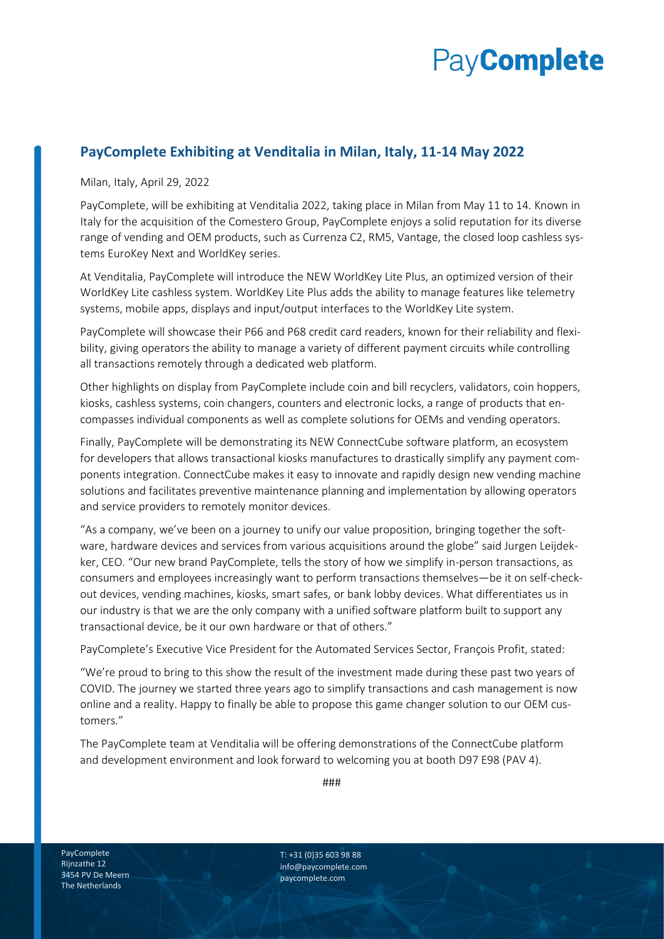## **PayComplete**

## **PayComplete Exhibiting at Venditalia in Milan, Italy, 11-14 May 2022**

Milan, Italy, April 29, 2022

PayComplete, will be exhibiting at Venditalia 2022, taking place in Milan from May 11 to 14. Known in Italy for the acquisition of the Comestero Group, PayComplete enjoys a solid reputation for its diverse range of vending and OEM products, such as Currenza C2, RM5, Vantage, the closed loop cashless systems EuroKey Next and WorldKey series.

At Venditalia, PayComplete will introduce the NEW WorldKey Lite Plus, an optimized version of their WorldKey Lite cashless system. WorldKey Lite Plus adds the ability to manage features like telemetry systems, mobile apps, displays and input/output interfaces to the WorldKey Lite system.

PayComplete will showcase their P66 and P68 credit card readers, known for their reliability and flexibility, giving operators the ability to manage a variety of different payment circuits while controlling all transactions remotely through a dedicated web platform.

Other highlights on display from PayComplete include coin and bill recyclers, validators, coin hoppers, kiosks, cashless systems, coin changers, counters and electronic locks, a range of products that encompasses individual components as well as complete solutions for OEMs and vending operators.

Finally, PayComplete will be demonstrating its NEW ConnectCube software platform, an ecosystem for developers that allows transactional kiosks manufactures to drastically simplify any payment components integration. ConnectCube makes it easy to innovate and rapidly design new vending machine solutions and facilitates preventive maintenance planning and implementation by allowing operators and service providers to remotely monitor devices.

"As a company, we've been on a journey to unify our value proposition, bringing together the software, hardware devices and services from various acquisitions around the globe" said Jurgen Leijdekker, CEO. "Our new brand PayComplete, tells the story of how we simplify in-person transactions, as consumers and employees increasingly want to perform transactions themselves—be it on self-checkout devices, vending machines, kiosks, smart safes, or bank lobby devices. What differentiates us in our industry is that we are the only company with a unified software platform built to support any transactional device, be it our own hardware or that of others."

PayComplete's Executive Vice President for the Automated Services Sector, François Profit, stated:

"We're proud to bring to this show the result of the investment made during these past two years of COVID. The journey we started three years ago to simplify transactions and cash management is now online and a reality. Happy to finally be able to propose this game changer solution to our OEM customers."

The PayComplete team at Venditalia will be offering demonstrations of the ConnectCube platform and development environment and look forward to welcoming you at booth D97 E98 (PAV 4).

###

PayComplete Rijnzathe 12 3454 PV De Meern The Netherlands

T: +31 (0)35 603 98 88 info@paycomplete.com paycomplete.com